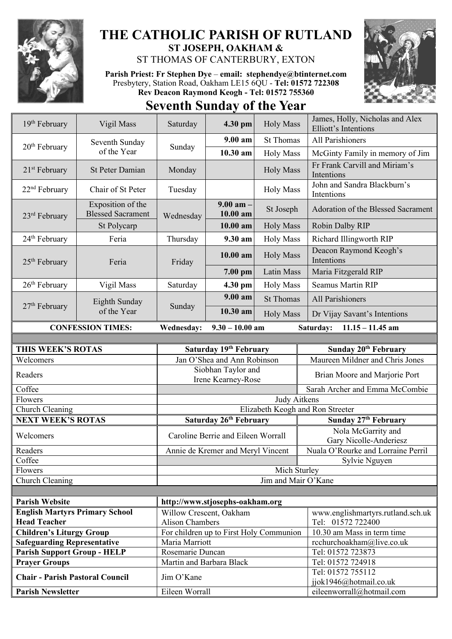

## **THE CATHOLIC PARISH OF RUTLAND ST JOSEPH, OAKHAM &**  ST THOMAS OF CANTERBURY, EXTON

**Parish Priest: Fr Stephen Dye** – **[email: stephendye@btinternet.com](mailto:email:%20%20stephendye@btinternet.com)** Presbytery, Station Road, Oakham LE15 6QU - **Tel: 01572 722308 Rev Deacon Raymond Keogh - Tel: 01572 755360**



**Seventh Sunday of the Year**

| 19 <sup>th</sup> February                                      | Vigil Mass                                    | Saturday<br>4.30 pm                          |                                          | <b>Holy Mass</b>    | James, Holly, Nicholas and Alex<br>Elliott's Intentions |
|----------------------------------------------------------------|-----------------------------------------------|----------------------------------------------|------------------------------------------|---------------------|---------------------------------------------------------|
| $20th$ February                                                | Seventh Sunday<br>of the Year                 | Sunday                                       | $9.00 a$ m                               | <b>St Thomas</b>    | All Parishioners                                        |
|                                                                |                                               |                                              | 10.30 am                                 | <b>Holy Mass</b>    | McGinty Family in memory of Jim                         |
| $21st$ February                                                | <b>St Peter Damian</b>                        | Monday                                       | <b>Holy Mass</b>                         |                     | Fr Frank Carvill and Miriam's<br>Intentions             |
| 22 <sup>nd</sup> February                                      | Chair of St Peter                             | Tuesday                                      |                                          | <b>Holy Mass</b>    | John and Sandra Blackburn's<br>Intentions               |
| 23rd February                                                  | Exposition of the<br><b>Blessed Sacrament</b> | Wednesday                                    | $9.00$ am $-$<br>10.00 am                | St Joseph           | Adoration of the Blessed Sacrament                      |
|                                                                | St Polycarp                                   |                                              | 10.00 am                                 | <b>Holy Mass</b>    | Robin Dalby RIP                                         |
| 24 <sup>th</sup> February                                      | Feria                                         | Thursday                                     | 9.30 am                                  | <b>Holy Mass</b>    | Richard Illingworth RIP                                 |
| $25th$ February                                                | Feria                                         | Friday                                       | 10.00 am                                 | <b>Holy Mass</b>    | Deacon Raymond Keogh's<br>Intentions                    |
|                                                                |                                               |                                              | 7.00 pm                                  | <b>Latin Mass</b>   | Maria Fitzgerald RIP                                    |
| $26th$ February                                                | Vigil Mass                                    | Saturday                                     | 4.30 pm                                  | <b>Holy Mass</b>    | <b>Seamus Martin RIP</b>                                |
|                                                                | Eighth Sunday<br>of the Year                  | Sunday                                       | $9.00 a$ m                               | <b>St Thomas</b>    | <b>All Parishioners</b>                                 |
| $27th$ February                                                |                                               |                                              | 10.30 am                                 | <b>Holy Mass</b>    | Dr Vijay Savant's Intentions                            |
| <b>CONFESSION TIMES:</b>                                       |                                               | Wednesday:                                   | $9.30 - 10.00$ am                        |                     | Saturday:<br>$11.15 - 11.45$ am                         |
|                                                                |                                               |                                              |                                          |                     |                                                         |
| THIS WEEK'S ROTAS                                              |                                               | Saturday 19th February                       |                                          |                     | Sunday 20 <sup>th</sup> February                        |
|                                                                |                                               |                                              |                                          |                     |                                                         |
| Welcomers                                                      |                                               |                                              | Jan O'Shea and Ann Robinson              |                     | Maureen Mildner and Chris Jones                         |
| Readers                                                        |                                               |                                              | Siobhan Taylor and<br>Irene Kearney-Rose |                     | Brian Moore and Marjorie Port                           |
| Coffee                                                         |                                               |                                              |                                          |                     | Sarah Archer and Emma McCombie                          |
| Flowers                                                        |                                               |                                              |                                          | Judy Aitkens        |                                                         |
| Church Cleaning                                                |                                               |                                              |                                          |                     | Elizabeth Keogh and Ron Streeter                        |
| <b>NEXT WEEK'S ROTAS</b>                                       |                                               |                                              | Saturday 26th February                   |                     | Sunday 27th February                                    |
| Welcomers                                                      |                                               |                                              | Caroline Berrie and Eileen Worrall       |                     | Nola McGarrity and<br>Gary Nicolle-Anderiesz            |
| Readers                                                        |                                               |                                              | Annie de Kremer and Meryl Vincent        |                     | Nuala O'Rourke and Lorraine Perril                      |
| Coffee                                                         |                                               |                                              |                                          |                     | Sylvie Nguyen                                           |
| Flowers                                                        |                                               |                                              |                                          | Mich Sturley        |                                                         |
| Church Cleaning                                                |                                               |                                              |                                          | Jim and Mair O'Kane |                                                         |
|                                                                |                                               |                                              |                                          |                     |                                                         |
| <b>Parish Website</b>                                          |                                               |                                              | http://www.stjosephs-oakham.org          |                     |                                                         |
| <b>English Martyrs Primary School</b>                          |                                               | Willow Crescent, Oakham                      |                                          |                     | www.englishmartyrs.rutland.sch.uk                       |
| <b>Head Teacher</b>                                            |                                               | <b>Alison Chambers</b>                       |                                          |                     | Tel: 01572 722400                                       |
| <b>Children's Liturgy Group</b>                                |                                               |                                              | For children up to First Holy Communion  |                     | 10.30 am Mass in term time                              |
| <b>Safeguarding Representative</b>                             |                                               | Maria Marriott                               |                                          |                     | rcchurchoakham@live.co.uk                               |
| <b>Parish Support Group - HELP</b>                             |                                               | Rosemarie Duncan<br>Martin and Barbara Black |                                          |                     | Tel: 01572 723873                                       |
| <b>Prayer Groups</b><br><b>Chair - Parish Pastoral Council</b> |                                               | Jim O'Kane                                   |                                          |                     | Tel: 01572 724918<br>Tel: 01572 755112                  |
| <b>Parish Newsletter</b>                                       |                                               | Eileen Worrall                               |                                          |                     | jjok1946@hotmail.co.uk<br>eileenworrall@hotmail.com     |